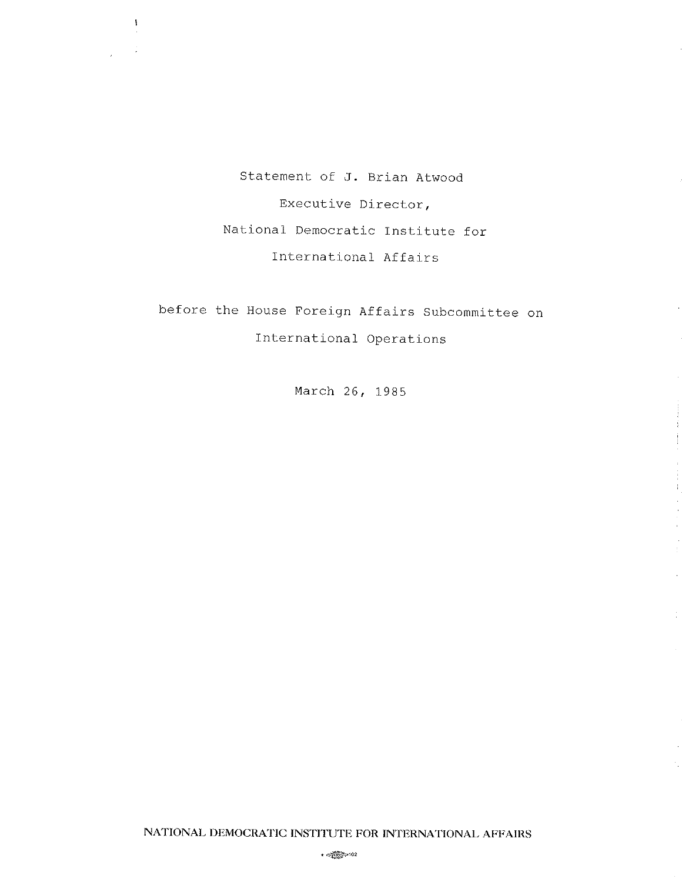Statement of J. Brían Atwood Executive Director, National Democratic Institute for International Affairs

 $\pmb{\ddot{}}$ 

before the House Foreign Affairs Subcommittee on International Operations

March 26, L985

 $\mathcal{L}$ 

 $\alpha$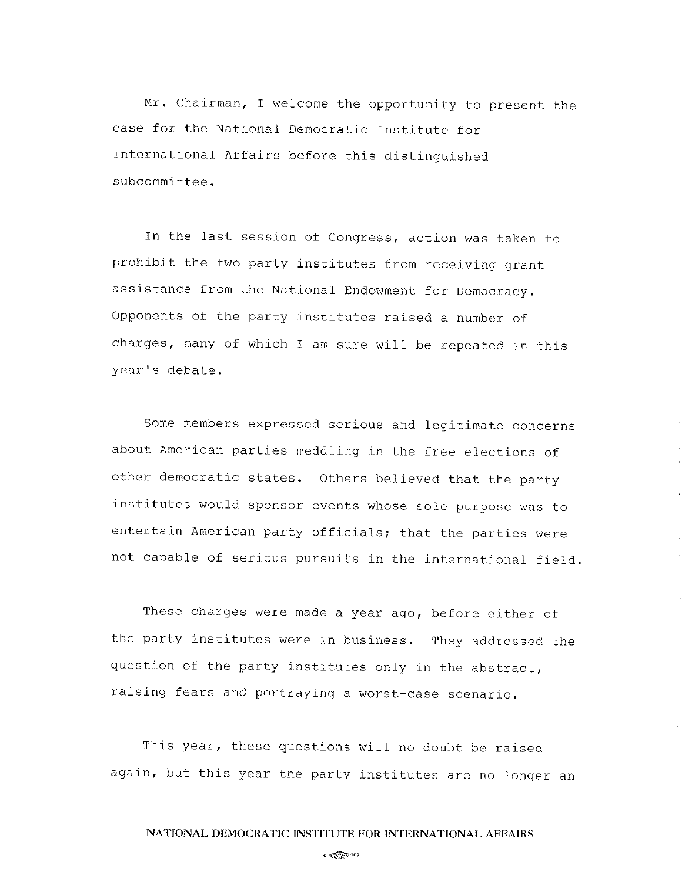Mr. Chairman, I welcome the opportunity to present the case for the National Democratic Institute for International Affairs before this distinguished subcommittee.

In the last session of Congress, action was taken to prohibit the two party institutes from receiving grant assistance from the National Endowment for Democracy. Opponents of the party institutes raised a number of charges, many of which I am sure will be repeated in this year's debate.

Some members expressed serious and legitimate concerns about American parties meddling in the free elections of other democratic states. others believed that the party institutes would sponsor events whose sole purpose was to entertain American party officials; that the parties were not capable of serious pursuits in the international field.

These charges were made a year ago, before either of the party institutes were in business. They addressed the question of the party institutes only in the abstract, raising fears and portraying a worst-case scenario.

This year, these questions will no doubt be raised again, but this year the party institutes are no longer an

 $. @ <sub>2</sub> \oplus 2$ .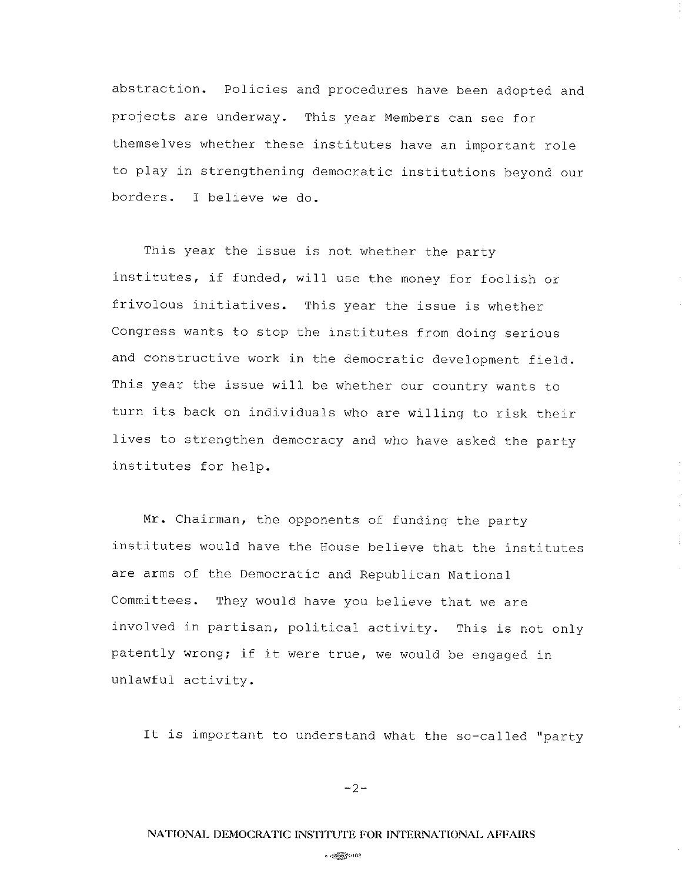abstraction. Policies and procedures have been adopted and projects are underway. This year Members can see for themselves whether these institutes have an important role to play in strengthening democratic institutions beyond our borders. I believe we do.

This year the issue is not whether the party institutes, if funded, will use the money for foolish or frivolous initiatives. This year the issue is whether congress wants to stop the institutes from doing serious and constructive work in the democratic development field. This year the issue will be whether our country wants to turn its back on individuals who are willing to risk their lives to strengthen democracy and who have asked the party institutes for heIp.

Mr. Chairman, the opponents of funding the party institutes would have the House believe that the institutes are arms of the Democratic and Republican National Committees. They would have you believe that we are involved in partisan, political activity. This is not only patently wrong; if it were true, we would be engaged in unlawful activity.

It is important to understand what the so-called "party

 $-2-$ 

### NATIONAL DEMOCRATIC INSTITUTE FOR INTERNATIONAL AFFAIRS

 $\sim$   $\sqrt{\frac{2}{2}}$   $\approx$  102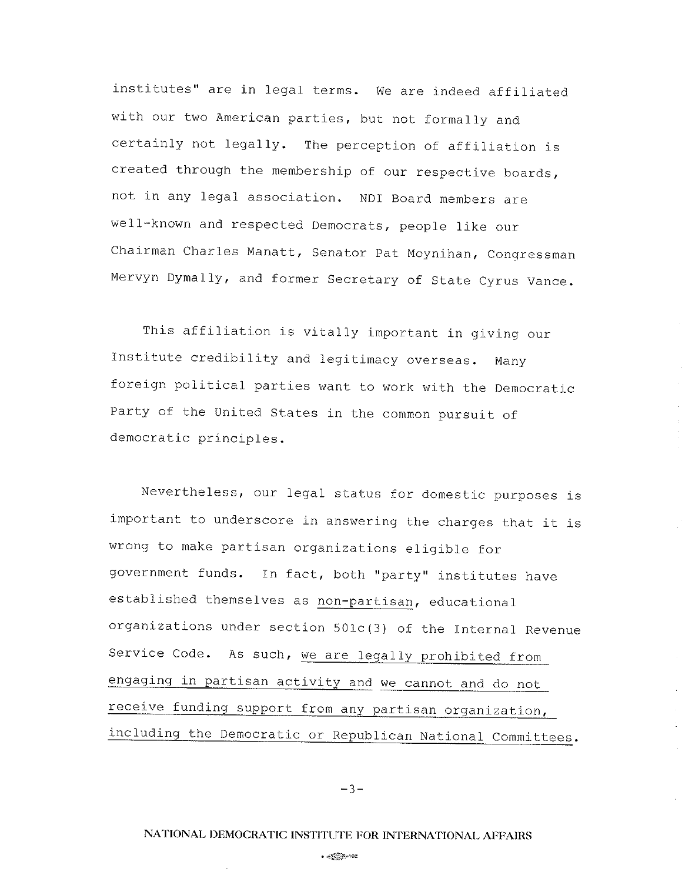institutes" are in legal terms. we are indeed affiliated with our two American parties, but not formally and certainly not legally. The perception of affiliation is created through the membership of our respective boards, not in any legal association. NDI Board members are well-known and respected Democrats, people like our chairman charles Manatt, senator pat Moynihan, congressman Mervyn Dymally, and former Secretary of State Cyrus Vance.

This affiliation is vitally important in giving our Institute credibility and legitimacy overseas. Many foreign political parties want to work with the Democratic Party of the United States in the common pursuit of democratic principles.

Nevertheless, our legal status for domestic purposes is important to underscore in answering the charges that it is wrong to make partisan organizations eligible for government funds. In fact, both "party" institutes have established themselves as non-partisan, educational organizations under section  $501c(3)$  of the Internal Revenue Service Code. As such, we are legally prohibited from engaging in partisan activity and we cannot and do not receive funding support from any partisan organization, including the Democratic or Republican National Committees.

 $-3-$ 

 $\ddot{\phantom{a}}$ 

## NATIONAL DEMOCRATIC INSTITUTE FOR INTERNATIONAL AFFAIRS

o@Þtoa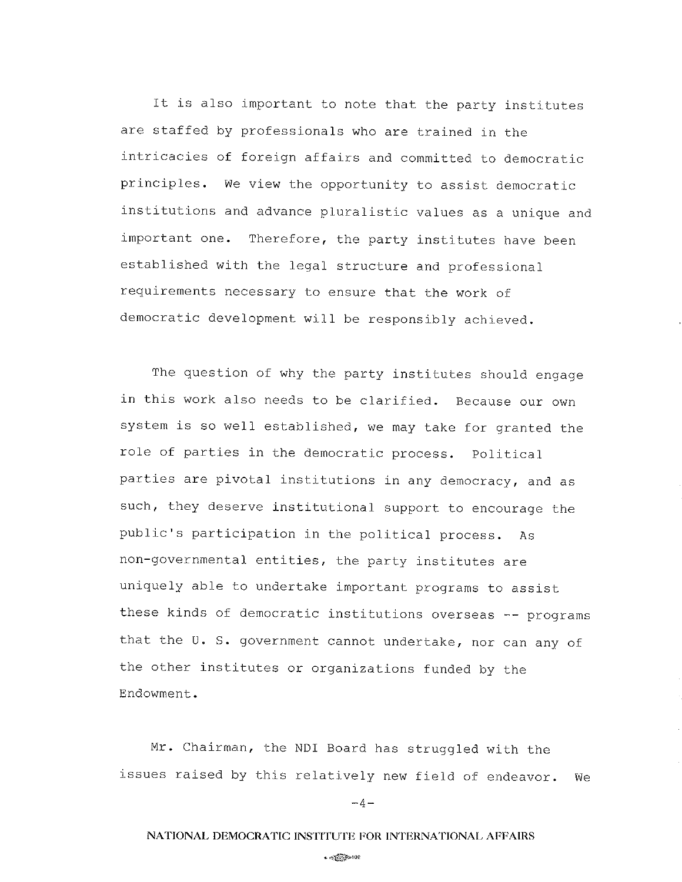It is also important to note that the party institutes are staffed by professionals who are trained in the intricacies of foreign affairs and committed to democratic principles. we view the opportunity to assist democratic institutions and advance pluralistic values as a unique and important one. Therefore, the party institutes have been established with the legal structure and professional requirements necessary to ensure that the work of democratic development will be responsibly achieved.

The question of why the party institutes should engage in this work also needs to be clarified. Because our own system is so well established, we may take for granted the role of parties in the democratic process. Political parties are pivotal institutions in any democracy, and as such, they deserve institutional support to encourage the public's participation in the political process. As non-governmental entities, the party institutes are uniquely able to undertake important programs to assist these kinds of democratic institutions overseas -- programs that the U. S. government cannot undertake, nor can any of the other institutes or organizations funded by the Endowment.

Mr. Chairman, the NDI Board has struggled with the issues raised by this relatively new field of endeavor. We

 $-4-$ 

## NATIONAL DEMOCRATIC INSTITUTE FOR INTERNATIONAL AFFAIRS

### $.475$   $\mu$ 102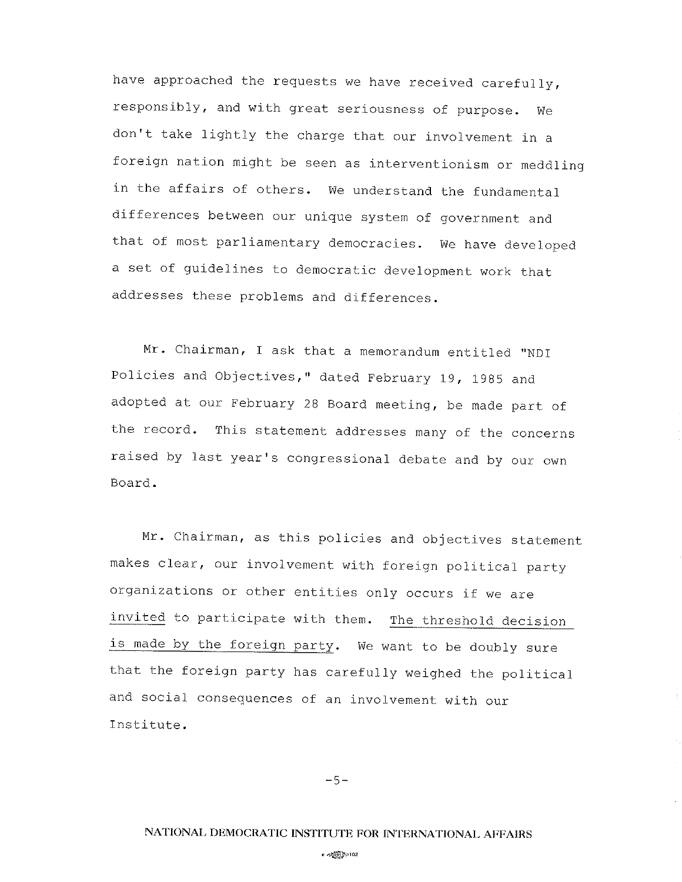have approached the requests we have received carefully, responsibly, and with great seriousness of purpose. we don't take lightly the charge that our involvement in a foreign nation might be seen as interventionism or meddling in the affairs of others. we understand the fundamental differences between our unique system of government and that of most parliamentary democracies. We have developed a set of guidelines to democratic development work that addresses these problems and differences.

Mr. Chairman, I ask that a memorandum entitled "NDI Policies and Objectives," dated February 19, 1985 and adopted at our February 2g Board meeting, be made part of the record. This statement addresses many of the concerns raised by last year's congressional debate and by our own Board.

Mr. Chairman, as this policies and objectives statement makes clear, our involvement with foreign political party organizations or other entities only occurs if we are invited to participate with them. The threshold decision is made by the foreign party. We want to be doubly sure that the foreign party has carefully weighed the political and social consequences of an involvement with our Institute.

 $-5-$ 

o *objektiv*anja 102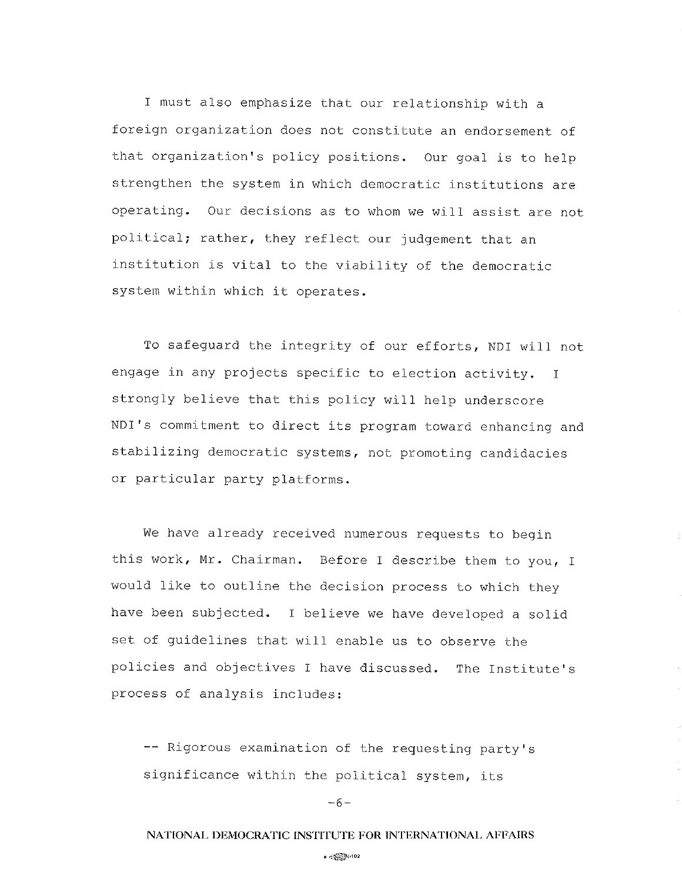I must also emphasize that our relationship with a foreign organization does not constitute an endorsement of that organization's policy positions. Our goal is to help strengthen the system in which democratic institutions are operating. our decisions as to whom we will assist are not political; rather, they reflect our judgement that an institution is vital to the viability of the democratic system within which it operates.

To safeguard the integrity of our efforts, NDI will not engage in any projects specific to election activity. I strongly believe that this policy will help underscore NDI's commitment to direct its program toward enhancing and stabilizing democratic systems, not promoting candidacies or particular party platforms.

We have already received numerous requests to begin this work, Mr. Chairman. Before I describe them to you, I would like to outline the decision process to which they have been subjected. I believe we have developed a solid set of guidelines that will enable us to observe the policies and objectives I have discussed. The Institute's process of analysis includes:

-- Rigorous examination of the requesting party's significance within the political system, its

 $-6-$ 

## NATIONAL DEMOCRATIC INSTITUTE FOR INTERNATIONAL AFFAIRS

.  $\ll$  . 2002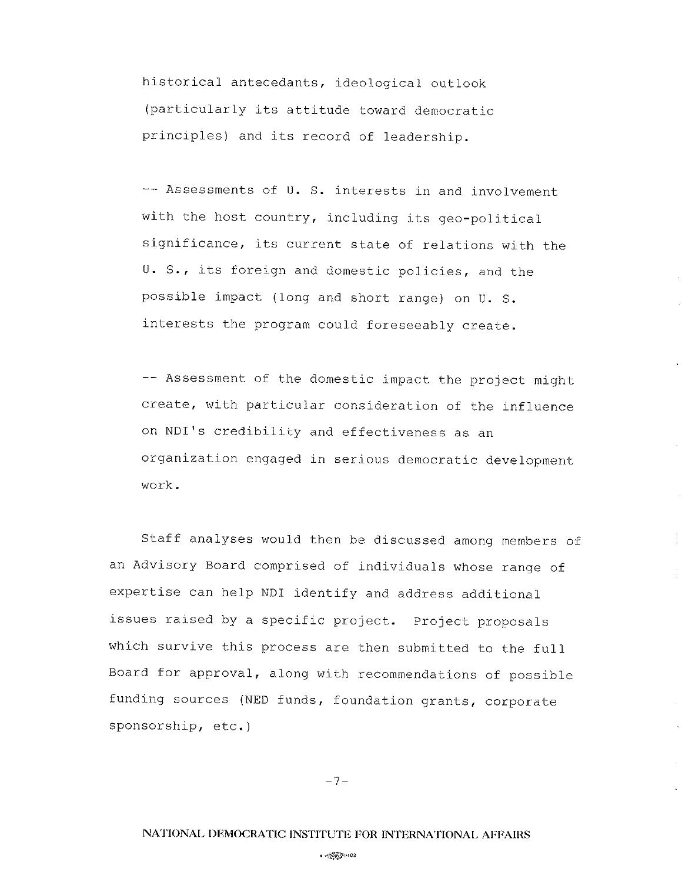historical antecedants, ideological outlook (particularly its attitude toward democratic principles) and its record of leadership.

-- Assessments of U. S. interests in and involvement with the host country, including its geo-political significance, its current state of relations with the U. S., its foreign and domestic policies, and the possible impact (long and short range) on U. S. interests the program could foreseeably create.

-- Assessment of the domestic impact the project might create, with particular consideration of the influence on NDI's credibility and effectiveness as an organization engaged in serious democratic development work.

staff analyses would then be discussed among members of an Advisory Board comprised of individuals whose range of expertise can help NDI identify and address additional issues raised by a specific project. project proposals which survive this process are then submitted to the full Board for approval, along with recommendations of possible funding sources (NED funds, foundation grants, corporate sponsorship, etc. )

 $-7-$ 

#### o@ttoz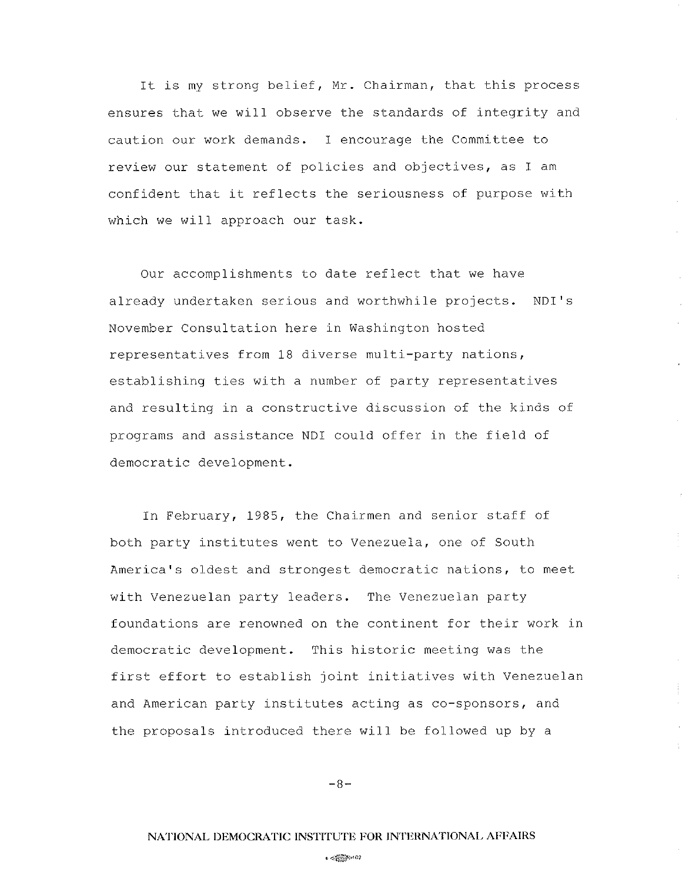It is my strong belief, Mr. Chairman, that this process ensures that we wilI observe the standards of integrity and caution our work demands. I encourage the Committee to review our statement of policies and objectives, as I am confident that it reflects the seriousness of purpose with which we will approach our task.

Our accomplishments to date reflect that we have already undertaken serious and worthwhile projects. NDI's November Consultation here in Washington hosted representatives from 18 diverse multi-party nations, establishing ties with a number of party representatives and resulting in a constructive discussion of the kinds of programs and assistance NDI could offer in the field of democratic development.

In February, 1985, the Chairmen and senior staff of both party institutes went to Venezuela, one of South America's oldest and strongest democratic nations, to meet with Venezuelan party leaders. The Venezuelan party foundations are renowned on the continent for their work in democratic development. This historic meeting was the first effort to establish joint initiatives with Venezuelan and American party institutes acting as co-sponsors, and the proposals introduced there will be followed up by <sup>a</sup>

 $-8-$ 

#### $\epsilon \ll \sqrt{2}$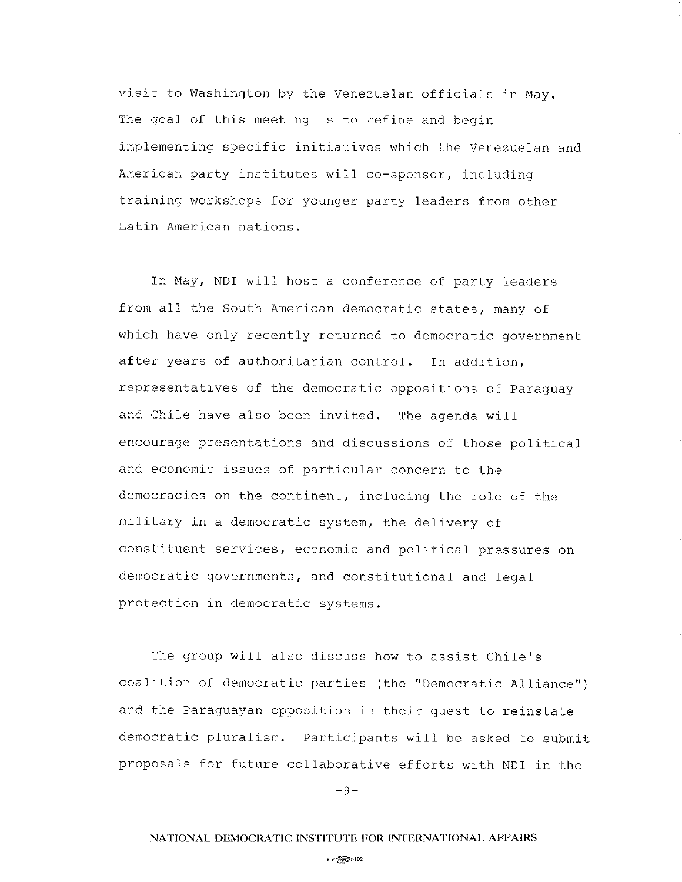visit to Washington by the Venezuelan officials in May. The goal of this meeting is to refine and begin implementing specific initiatives which the Venezuelan and American party institutes will co-sponsor, including training workshops for younger party leaders from other Latin American nations.

In May, NDI will host a conference of party leaders from all the South American democratic states, many of which have only recently returned to democratic government after years of authoritarian control. In addition, representatives of the democratic oppositions of paraguay and Chile have also been invited. The agenda will encourage presentations and discussions of those political and economic issues of particular concern to the democracies on the continent, including the role of the military in a democratic system, the delivery of constituent services, economic and political pressures on democratic governments, and constitutional and legal protection in democratic systems.

The group will also discuss how to assist Chile's coalition of democratic parties (the "Democratic AIliance") and the Paraguayan opposition in their quest to reinstate democratic pluralism. Participants will be asked to submit proposals for future collaborative efforts with NDI in the

 $-9-$ 

#### ,@ro¿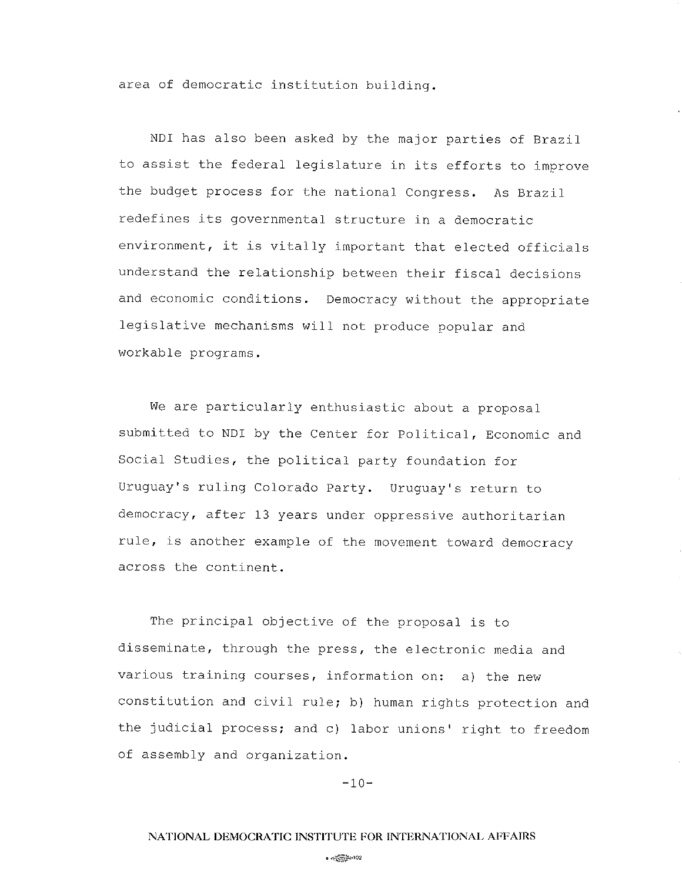area of democratic institution building.

NDI has also been asked by the major parties of Brazil to assist the federal legislature in its efforts to improve the budget process for the national Congress. As Brazil redefines its governmental structure in a democratic environment, it is vitally important that elected officials understand the relationship between their fiscal decisions and economic conditions. Democracy without the appropriate legislative mechanisms will not produce popular and workable programs.

We are particularly enthusiastic about a proposal submitted to NDI by the Center for Political, Economic and Social Studies, the political party foundation for Uruguay's ruling Colorado Party. Uruguay's return to democracy, after 13 years under oppressive authoritarian ru1e, is another example of the movement toward democracy across the continent.

The principal objective of the proposal is to disseminate, through the press, the electronic media and various training courses, information on: a) the new constitution and civil rule; b) human rights protection and the judicial process; and c) labor unions' right to freedom of assembly and organization.

 $-10-$ 

### NATIONAL DEMOCRATIC INSTITUTE FOR INTERNATIONAL AFFAIRS

### $\bullet$   $\otimes$   $\otimes$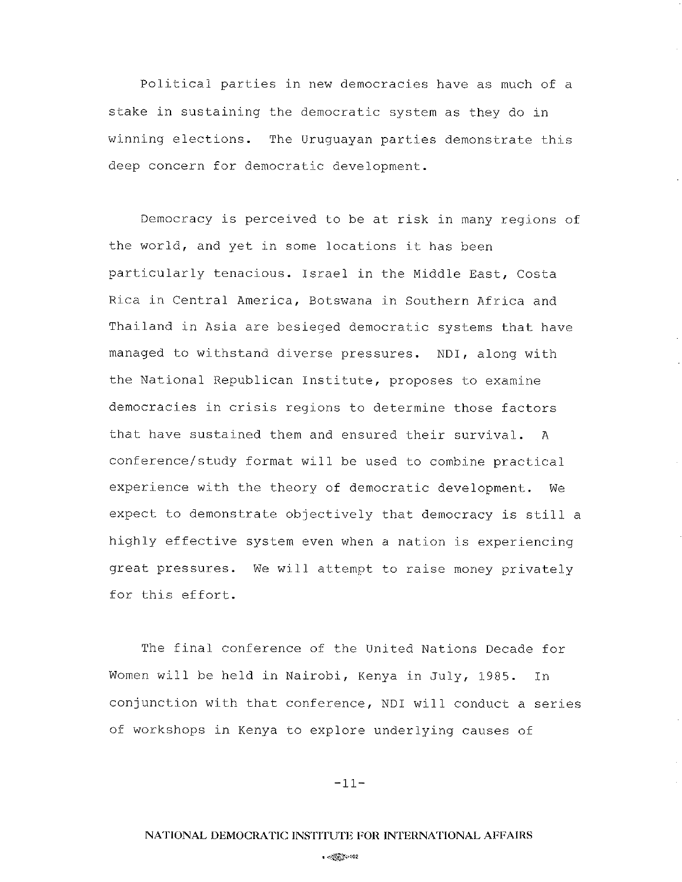Political parties in new democracies have as much of <sup>a</sup> stake in sustaining the democratic system as they do in winning elections. The Uruguayan parties demonstrate this deep concern for democratic development.

Democracy is perceived to be at risk in many regions of the world, and yet in some locations it has been particularly tenacious. Israel in the Middle East, Costa Rica in Central America, Botswana in Southern Africa and Thailand in Asia are besieged democratic systems that have managed to withstand diverse pressures. NDI, along with the NationaL Republican Institute, proposes to examine democracies in crisis regions to determine those factors that have sustained them and ensured their survival. <sup>A</sup> conference/study format will be used to combine practical experience with the theory of democratic development. We expect to demonstrate objectively that democracy is still <sup>a</sup> highly effective system even when a nation is experiencing great pressures. We will attempt to raise money privately for this effort.

The final conference of the United Nations Decade for Women will be held in Nairobi, Kenya in JuIy, 1985. In conjunction with that conference, NDI will conduct a series of workshops in Kenya to explore underlying causes of

 $-11-$ 

.@to¿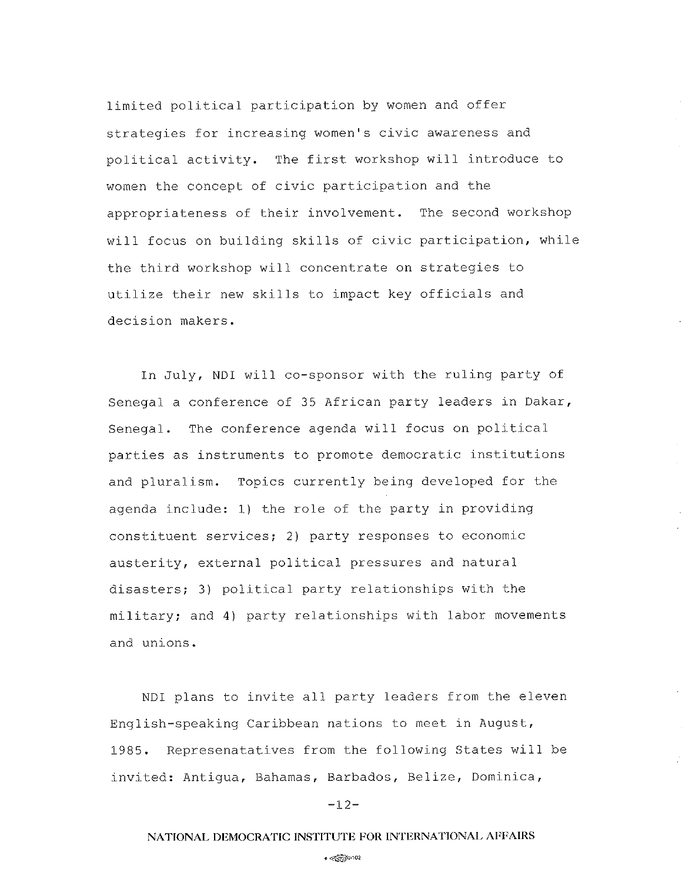limited political participation by women and offer strategies for increasing women's civic awareness and political activity. The first workshop will introduce to women the concept of civic participation and the appropriateness of their involvement. The second workshop will focus on building skills of civic participation, while the third workshop will concentrate on strategies to utilize their new skills to impact key officials and decision makers.

In July, NDI will co-sponsor with the ruling party of Senegal a conference of 35 African party leaders in Dakar, Senegal. The conference agenda wilI focus on political parties as instruments to promote democratic institutions and pluralism. Topics currently being developed for the agenda include: 1) the role of the party in providing constituent services; 2) party responses to economic austerity, external political pressures and natural disasters; 3) political party relationships with the military; and 4l party relationships with labor movements and unions.

NDI plans to invite all party leaders from the eleven English-speaking Caribbean nations to meet in August, L985. Represenatatives from the following States wilI be invited: Antiqua, Bahamas, Barbados, Belize, Dominica,

 $-12-$ 

# NATIONAL DEMOCRATIC INSTITUTE FOR INTERNATIONAL AFFAIRS

 $\sim$   $\langle\langle\hat{\phi}\rangle\rangle$   $\gg$  102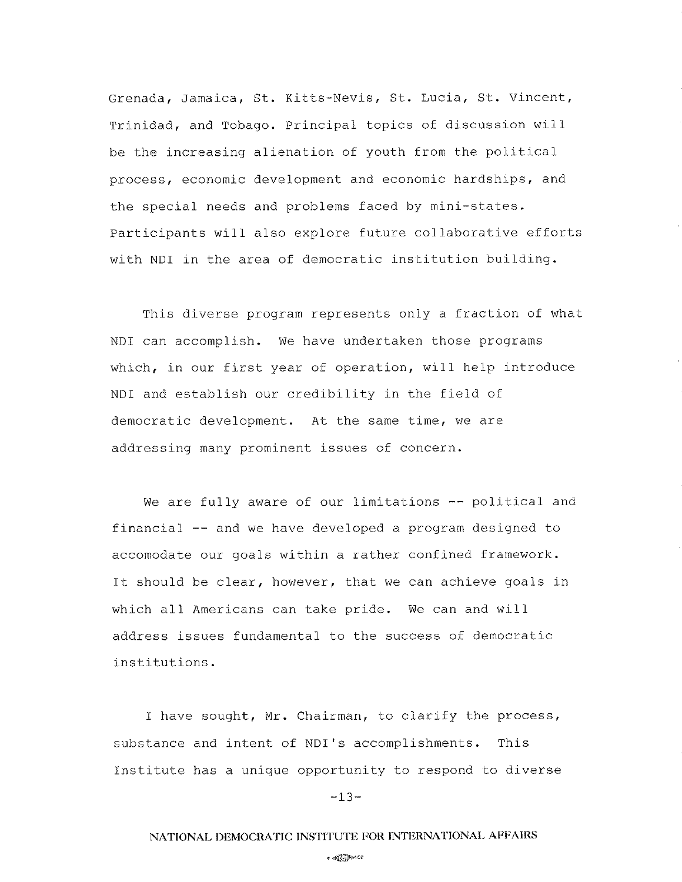Grenada, Jamaica, St. Kitts-Nevis, St. Lucia, St. Vincent, Trinidad, and Tobago. Principal topics of discussion will be the increasing alienation of youth from the political process, economic development and economic hardships, and the special needs and problems faced by mini-states. Participants will also explore future collaborative efforts with NDI in the area of democratic institution building.

This diverse program represents only a fraction of what NDI can accomplish. We have undertaken those programs which, in our first year of operation, will help introduce NDI and establish our credibility in the field of democratic development. At the same time, we are addressing many prominent issues of concern.

We are fully aware of our limitations -- political and financial -- and we have developed a program designed to accomodate our goals within a rather confined framework. It should be clear, however, that we can achieve goals in which all Americans can take pride. We can and will address issues fundamental to the success of democratic institutions.

I have sought, Mr. Chairman, to clarify the process, substance and intent of NDI's accomplishments. This Institute has a unique opportunity to respond to diverse

 $-13-$ 

# NATIONAL DEMOCRATIC INSTITUTE FOR INTERNATIONAL AFFAIRS

.@Þro2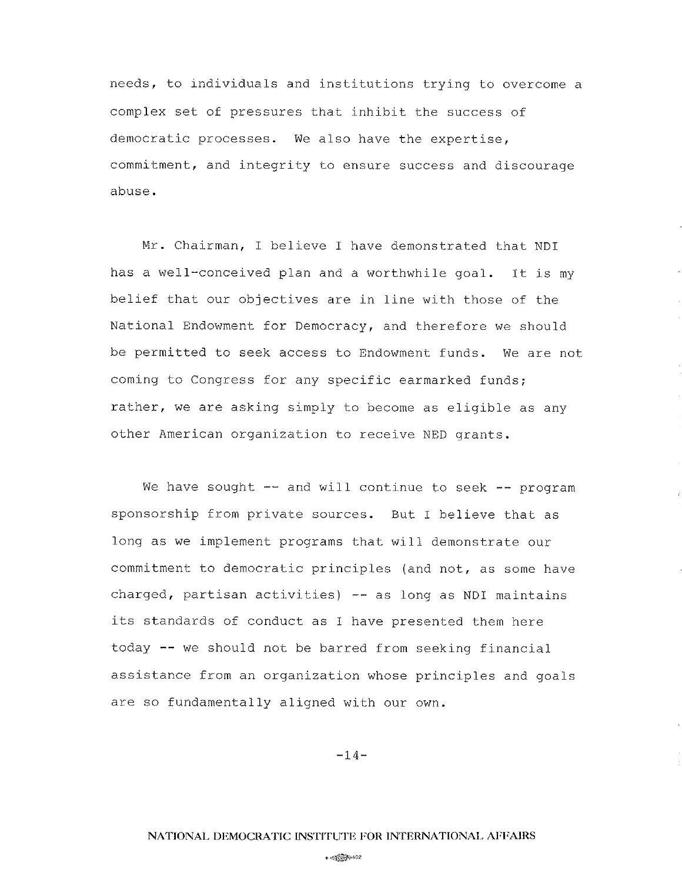needs, to individuals and institutions trying to overcome <sup>a</sup> complex set of pressures that inhibit the success of democratic processes. We also have the expertise, commitment, and integrity to ensure success and discourage abuse.

Mr. Chairman, I believe I have demonstrated that NDI has a well-conceived plan and a worthwhile goal. It is my belief that our objectives are in line with those of the National Endowment for Democracy, and therefore we should be permitted to seek access to Endowment funds. We are not coming to Congress for any specific earmarked funds; rather, we are asking simply to become as eligible as any other American organization to receive NED grants.

We have sought  $--$  and will continue to seek  $--$  program sponsorship from private sources. But I believe that as long as we implement programs that will demonstrate our commitment to democratic principles (and not, as some have charged, partisan activities) -- as long as NDI maintains its standards of conduct as I have presented them here today -- we should not be barred from seeking financial assistance from an organization whose principles and goals are so fundamentally aligned with our own.

 $-14-$ 

 $\bullet$   $\otimes$   $\otimes$   $\otimes$